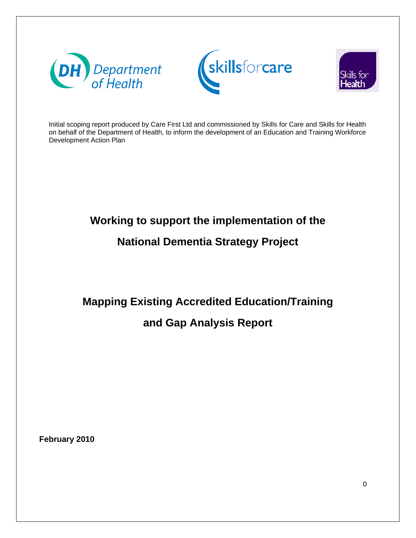





Initial scoping report produced by Care First Ltd and commissioned by Skills for Care and Skills for Health on behalf of the Department of Health, to inform the development of an Education and Training Workforce Development Action Plan

# **Working to support the implementation of the**

# **National Dementia Strategy Project**

**Mapping Existing Accredited Education/Training** 

# **and Gap Analysis Report**

**February 2010**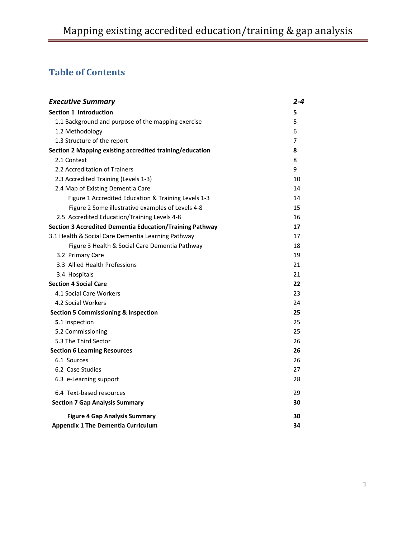# **Table of Contents**

| <b>Executive Summary</b>                                        | 2-4 |  |
|-----------------------------------------------------------------|-----|--|
| <b>Section 1 Introduction</b>                                   | 5   |  |
| 1.1 Background and purpose of the mapping exercise              | 5   |  |
| 1.2 Methodology                                                 | 6   |  |
| 1.3 Structure of the report                                     | 7   |  |
| Section 2 Mapping existing accredited training/education        | 8   |  |
| 2.1 Context                                                     | 8   |  |
| 2.2 Accreditation of Trainers                                   | 9   |  |
| 2.3 Accredited Training (Levels 1-3)                            | 10  |  |
| 2.4 Map of Existing Dementia Care                               | 14  |  |
| Figure 1 Accredited Education & Training Levels 1-3             | 14  |  |
| Figure 2 Some illustrative examples of Levels 4-8               | 15  |  |
| 2.5 Accredited Education/Training Levels 4-8                    | 16  |  |
| <b>Section 3 Accredited Dementia Education/Training Pathway</b> | 17  |  |
| 3.1 Health & Social Care Dementia Learning Pathway              | 17  |  |
| Figure 3 Health & Social Care Dementia Pathway                  | 18  |  |
| 3.2 Primary Care                                                | 19  |  |
| 3.3 Allied Health Professions                                   | 21  |  |
| 3.4 Hospitals                                                   | 21  |  |
| <b>Section 4 Social Care</b>                                    | 22  |  |
| 4.1 Social Care Workers                                         | 23  |  |
| 4.2 Social Workers                                              | 24  |  |
| <b>Section 5 Commissioning &amp; Inspection</b>                 | 25  |  |
| 5.1 Inspection                                                  | 25  |  |
| 5.2 Commissioning                                               | 25  |  |
| 5.3 The Third Sector                                            | 26  |  |
| <b>Section 6 Learning Resources</b>                             | 26  |  |
| 6.1 Sources                                                     | 26  |  |
| 6.2 Case Studies                                                | 27  |  |
| 6.3 e-Learning support                                          | 28  |  |
| 6.4 Text-based resources                                        | 29  |  |
| <b>Section 7 Gap Analysis Summary</b>                           | 30  |  |
| <b>Figure 4 Gap Analysis Summary</b>                            | 30  |  |
| <b>Appendix 1 The Dementia Curriculum</b>                       | 34  |  |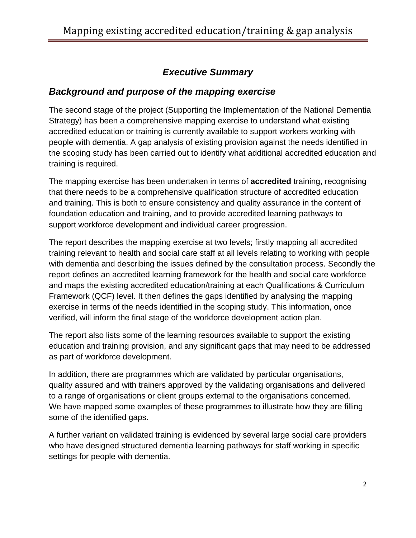### *Executive Summary*

#### *Background and purpose of the mapping exercise*

The second stage of the project (Supporting the Implementation of the National Dementia Strategy) has been a comprehensive mapping exercise to understand what existing accredited education or training is currently available to support workers working with people with dementia. A gap analysis of existing provision against the needs identified in the scoping study has been carried out to identify what additional accredited education and training is required.

The mapping exercise has been undertaken in terms of **accredited** training, recognising that there needs to be a comprehensive qualification structure of accredited education and training. This is both to ensure consistency and quality assurance in the content of foundation education and training, and to provide accredited learning pathways to support workforce development and individual career progression.

The report describes the mapping exercise at two levels; firstly mapping all accredited training relevant to health and social care staff at all levels relating to working with people with dementia and describing the issues defined by the consultation process. Secondly the report defines an accredited learning framework for the health and social care workforce and maps the existing accredited education/training at each Qualifications & Curriculum Framework (QCF) level. It then defines the gaps identified by analysing the mapping exercise in terms of the needs identified in the scoping study. This information, once verified, will inform the final stage of the workforce development action plan.

The report also lists some of the learning resources available to support the existing education and training provision, and any significant gaps that may need to be addressed as part of workforce development.

In addition, there are programmes which are validated by particular organisations, quality assured and with trainers approved by the validating organisations and delivered to a range of organisations or client groups external to the organisations concerned. We have mapped some examples of these programmes to illustrate how they are filling some of the identified gaps.

A further variant on validated training is evidenced by several large social care providers who have designed structured dementia learning pathways for staff working in specific settings for people with dementia.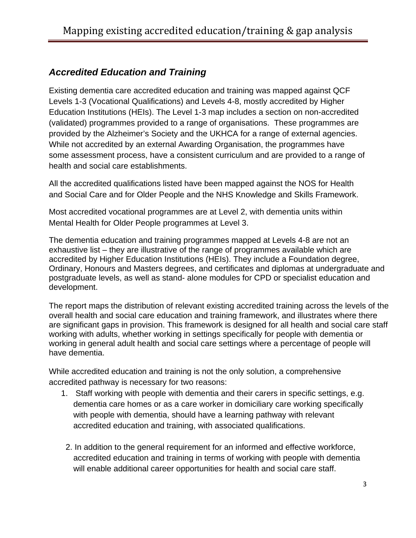#### *Accredited Education and Training*

Existing dementia care accredited education and training was mapped against QCF Levels 1-3 (Vocational Qualifications) and Levels 4-8, mostly accredited by Higher Education Institutions (HEIs). The Level 1-3 map includes a section on non-accredited (validated) programmes provided to a range of organisations. These programmes are provided by the Alzheimer's Society and the UKHCA for a range of external agencies. While not accredited by an external Awarding Organisation, the programmes have some assessment process, have a consistent curriculum and are provided to a range of health and social care establishments.

All the accredited qualifications listed have been mapped against the NOS for Health and Social Care and for Older People and the NHS Knowledge and Skills Framework.

Most accredited vocational programmes are at Level 2, with dementia units within Mental Health for Older People programmes at Level 3.

The dementia education and training programmes mapped at Levels 4-8 are not an exhaustive list – they are illustrative of the range of programmes available which are accredited by Higher Education Institutions (HEIs). They include a Foundation degree, Ordinary, Honours and Masters degrees, and certificates and diplomas at undergraduate and postgraduate levels, as well as stand- alone modules for CPD or specialist education and development.

The report maps the distribution of relevant existing accredited training across the levels of the overall health and social care education and training framework, and illustrates where there are significant gaps in provision. This framework is designed for all health and social care staff working with adults, whether working in settings specifically for people with dementia or working in general adult health and social care settings where a percentage of people will have dementia.

While accredited education and training is not the only solution, a comprehensive accredited pathway is necessary for two reasons:

- 1. Staff working with people with dementia and their carers in specific settings, e.g. dementia care homes or as a care worker in domiciliary care working specifically with people with dementia, should have a learning pathway with relevant accredited education and training, with associated qualifications.
- 2. In addition to the general requirement for an informed and effective workforce, accredited education and training in terms of working with people with dementia will enable additional career opportunities for health and social care staff.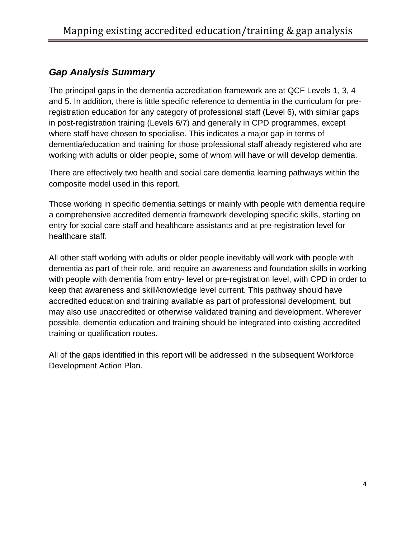#### *Gap Analysis Summary*

The principal gaps in the dementia accreditation framework are at QCF Levels 1, 3, 4 and 5. In addition, there is little specific reference to dementia in the curriculum for preregistration education for any category of professional staff (Level 6), with similar gaps in post-registration training (Levels 6/7) and generally in CPD programmes, except where staff have chosen to specialise. This indicates a major gap in terms of dementia/education and training for those professional staff already registered who are working with adults or older people, some of whom will have or will develop dementia.

There are effectively two health and social care dementia learning pathways within the composite model used in this report.

Those working in specific dementia settings or mainly with people with dementia require a comprehensive accredited dementia framework developing specific skills, starting on entry for social care staff and healthcare assistants and at pre-registration level for healthcare staff.

All other staff working with adults or older people inevitably will work with people with dementia as part of their role, and require an awareness and foundation skills in working with people with dementia from entry- level or pre-registration level, with CPD in order to keep that awareness and skill/knowledge level current. This pathway should have accredited education and training available as part of professional development, but may also use unaccredited or otherwise validated training and development. Wherever possible, dementia education and training should be integrated into existing accredited training or qualification routes.

All of the gaps identified in this report will be addressed in the subsequent Workforce Development Action Plan.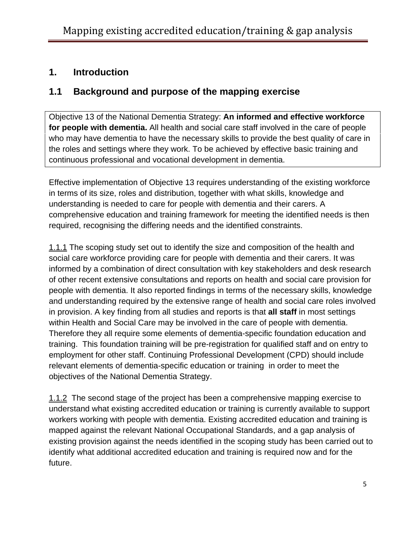#### **1. Introduction**

#### **1.1 Background and purpose of the mapping exercise**

Objective 13 of the National Dementia Strategy: **An informed and effective workforce for people with dementia.** All health and social care staff involved in the care of people who may have dementia to have the necessary skills to provide the best quality of care in the roles and settings where they work. To be achieved by effective basic training and continuous professional and vocational development in dementia.

Effective implementation of Objective 13 requires understanding of the existing workforce in terms of its size, roles and distribution, together with what skills, knowledge and understanding is needed to care for people with dementia and their carers. A comprehensive education and training framework for meeting the identified needs is then required, recognising the differing needs and the identified constraints.

1.1.1 The scoping study set out to identify the size and composition of the health and social care workforce providing care for people with dementia and their carers. It was informed by a combination of direct consultation with key stakeholders and desk research of other recent extensive consultations and reports on health and social care provision for people with dementia. It also reported findings in terms of the necessary skills, knowledge and understanding required by the extensive range of health and social care roles involved in provision. A key finding from all studies and reports is that **all staff** in most settings within Health and Social Care may be involved in the care of people with dementia. Therefore they all require some elements of dementia-specific foundation education and training. This foundation training will be pre-registration for qualified staff and on entry to employment for other staff. Continuing Professional Development (CPD) should include relevant elements of dementia-specific education or training in order to meet the objectives of the National Dementia Strategy.

1.1.2 The second stage of the project has been a comprehensive mapping exercise to understand what existing accredited education or training is currently available to support workers working with people with dementia. Existing accredited education and training is mapped against the relevant National Occupational Standards, and a gap analysis of existing provision against the needs identified in the scoping study has been carried out to identify what additional accredited education and training is required now and for the future.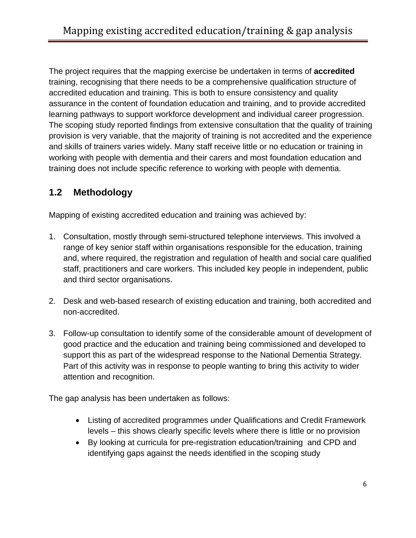The project requires that the mapping exercise be undertaken in terms of **accredited**  training, recognising that there needs to be a comprehensive qualification structure of accredited education and training. This is both to ensure consistency and quality assurance in the content of foundation education and training, and to provide accredited learning pathways to support workforce development and individual career progression. The scoping study reported findings from extensive consultation that the quality of training provision is very variable, that the majority of training is not accredited and the experience and skills of trainers varies widely. Many staff receive little or no education or training in working with people with dementia and their carers and most foundation education and training does not include specific reference to working with people with dementia.

### **1.2 Methodology**

Mapping of existing accredited education and training was achieved by:

- 1. Consultation, mostly through semi-structured telephone interviews. This involved a range of key senior staff within organisations responsible for the education, training and, where required, the registration and regulation of health and social care qualified staff, practitioners and care workers. This included key people in independent, public and third sector organisations.
- 2. Desk and web-based research of existing education and training, both accredited and non-accredited.
- 3. Follow-up consultation to identify some of the considerable amount of development of good practice and the education and training being commissioned and developed to support this as part of the widespread response to the National Dementia Strategy. Part of this activity was in response to people wanting to bring this activity to wider attention and recognition.

The gap analysis has been undertaken as follows:

- Listing of accredited programmes under Qualifications and Credit Framework levels – this shows clearly specific levels where there is little or no provision
- By looking at curricula for pre-registration education/training and CPD and identifying gaps against the needs identified in the scoping study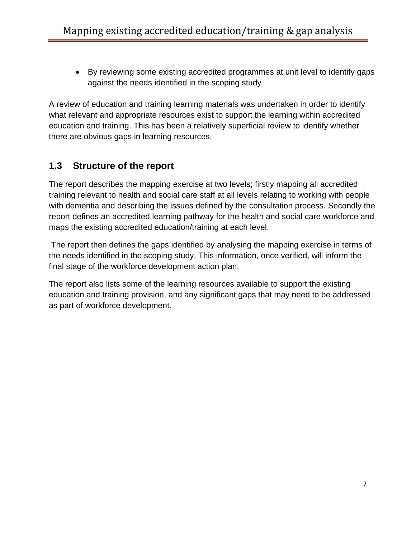• By reviewing some existing accredited programmes at unit level to identify gaps against the needs identified in the scoping study

A review of education and training learning materials was undertaken in order to identify what relevant and appropriate resources exist to support the learning within accredited education and training. This has been a relatively superficial review to identify whether there are obvious gaps in learning resources.

#### **1.3 Structure of the report**

The report describes the mapping exercise at two levels; firstly mapping all accredited training relevant to health and social care staff at all levels relating to working with people with dementia and describing the issues defined by the consultation process. Secondly the report defines an accredited learning pathway for the health and social care workforce and maps the existing accredited education/training at each level.

 The report then defines the gaps identified by analysing the mapping exercise in terms of the needs identified in the scoping study. This information, once verified, will inform the final stage of the workforce development action plan.

The report also lists some of the learning resources available to support the existing education and training provision, and any significant gaps that may need to be addressed as part of workforce development.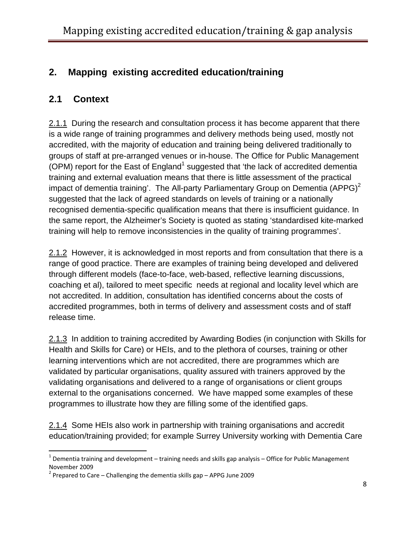### **2. Mapping existing accredited education/training**

#### **2.1 Context**

2.1.1 During the research and consultation process it has become apparent that there is a wide range of training programmes and delivery methods being used, mostly not accredited, with the majority of education and training being delivered traditionally to groups of staff at pre-arranged venues or in-house. The Office for Public Management (OPM) report for the East of England<sup>[1](#page-8-0)</sup> suggested that 'the lack of accredited dementia training and external evaluation means that there is little assessment of the practical impact of dementia training'. The All-party Parliamentary Group on Dementia (APPG)<sup>[2](#page-8-1)</sup> suggested that the lack of agreed standards on levels of training or a nationally recognised dementia-specific qualification means that there is insufficient guidance. In the same report, the Alzheimer's Society is quoted as stating 'standardised kite-marked training will help to remove inconsistencies in the quality of training programmes'.

2.1.2 However, it is acknowledged in most reports and from consultation that there is a range of good practice. There are examples of training being developed and delivered through different models (face-to-face, web-based, reflective learning discussions, coaching et al), tailored to meet specific needs at regional and locality level which are not accredited. In addition, consultation has identified concerns about the costs of accredited programmes, both in terms of delivery and assessment costs and of staff release time.

2.1.3 In addition to training accredited by Awarding Bodies (in conjunction with Skills for Health and Skills for Care) or HEIs, and to the plethora of courses, training or other learning interventions which are not accredited, there are programmes which are validated by particular organisations, quality assured with trainers approved by the validating organisations and delivered to a range of organisations or client groups external to the organisations concerned. We have mapped some examples of these programmes to illustrate how they are filling some of the identified gaps.

2.1.4 Some HEIs also work in partnership with training organisations and accredit education/training provided; for example Surrey University working with Dementia Care

<span id="page-8-0"></span> $1$  Dementia training and development – training needs and skills gap analysis – Office for Public Management November 2009<br> $^2$  Prepared to Care – Challenging the dementia skills gap – APPG June 2009

<span id="page-8-1"></span>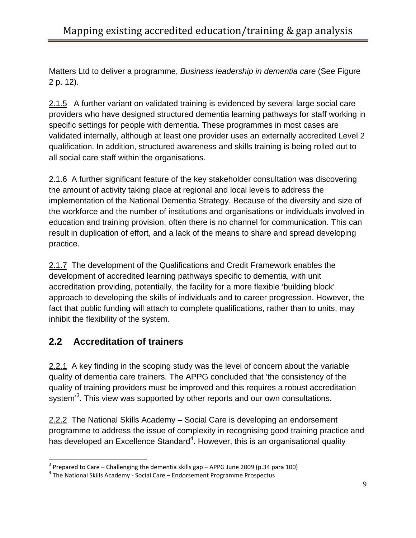Matters Ltd to deliver a programme, *Business leadership in dementia care* (See Figure 2 p. 12).

2.1.5 A further variant on validated training is evidenced by several large social care providers who have designed structured dementia learning pathways for staff working in specific settings for people with dementia. These programmes in most cases are validated internally, although at least one provider uses an externally accredited Level 2 qualification. In addition, structured awareness and skills training is being rolled out to all social care staff within the organisations.

2.1.6 A further significant feature of the key stakeholder consultation was discovering the amount of activity taking place at regional and local levels to address the implementation of the National Dementia Strategy. Because of the diversity and size of the workforce and the number of institutions and organisations or individuals involved in education and training provision, often there is no channel for communication. This can result in duplication of effort, and a lack of the means to share and spread developing practice.

2.1.7 The development of the Qualifications and Credit Framework enables the development of accredited learning pathways specific to dementia, with unit accreditation providing, potentially, the facility for a more flexible 'building block' approach to developing the skills of individuals and to career progression. However, the fact that public funding will attach to complete qualifications, rather than to units, may inhibit the flexibility of the system.

# **2.2 Accreditation of trainers**

2.2.1 A key finding in the scoping study was the level of concern about the variable quality of dementia care trainers. The APPG concluded that 'the consistency of the quality of training providers must be improved and this requires a robust accreditation system<sup>[3](#page-9-0)</sup>. This view was supported by other reports and our own consultations.

2.2.2 The National Skills Academy – Social Care is developing an endorsement programme to address the issue of complexity in recognising good training practice and has developed an Excellence Standard<sup>[4](#page-9-1)</sup>. However, this is an organisational quality

<span id="page-9-0"></span><sup>&</sup>lt;sup>3</sup> Prepared to Care – Challenging the dementia skills gap – APPG June 2009 (p.34 para 100)<br><sup>4</sup> The National Skills Academy - Social Care – Endorsement Programme Prospectus

<span id="page-9-1"></span>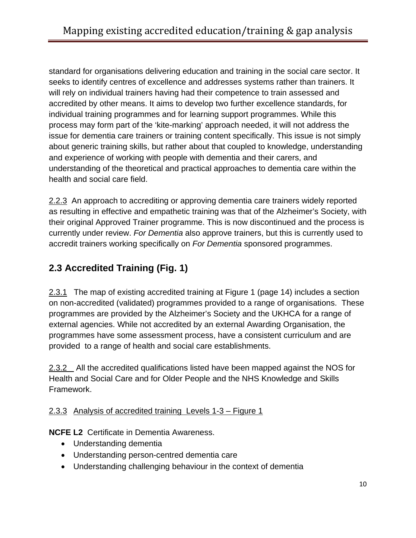standard for organisations delivering education and training in the social care sector. It seeks to identify centres of excellence and addresses systems rather than trainers. It will rely on individual trainers having had their competence to train assessed and accredited by other means. It aims to develop two further excellence standards, for individual training programmes and for learning support programmes. While this process may form part of the 'kite-marking' approach needed, it will not address the issue for dementia care trainers or training content specifically. This issue is not simply about generic training skills, but rather about that coupled to knowledge, understanding and experience of working with people with dementia and their carers, and understanding of the theoretical and practical approaches to dementia care within the health and social care field.

2.2.3 An approach to accrediting or approving dementia care trainers widely reported as resulting in effective and empathetic training was that of the Alzheimer's Society, with their original Approved Trainer programme. This is now discontinued and the process is currently under review. *For Dementia* also approve trainers, but this is currently used to accredit trainers working specifically on *For Dementia* sponsored programmes.

# **2.3 Accredited Training (Fig. 1)**

2.3.1 The map of existing accredited training at Figure 1 (page 14) includes a section on non-accredited (validated) programmes provided to a range of organisations. These programmes are provided by the Alzheimer's Society and the UKHCA for a range of external agencies. While not accredited by an external Awarding Organisation, the programmes have some assessment process, have a consistent curriculum and are provided to a range of health and social care establishments.

2.3.2 All the accredited qualifications listed have been mapped against the NOS for Health and Social Care and for Older People and the NHS Knowledge and Skills Framework.

#### 2.3.3 Analysis of accredited training Levels 1-3 – Figure 1

**NCFE L2** Certificate in Dementia Awareness.

- Understanding dementia
- Understanding person-centred dementia care
- Understanding challenging behaviour in the context of dementia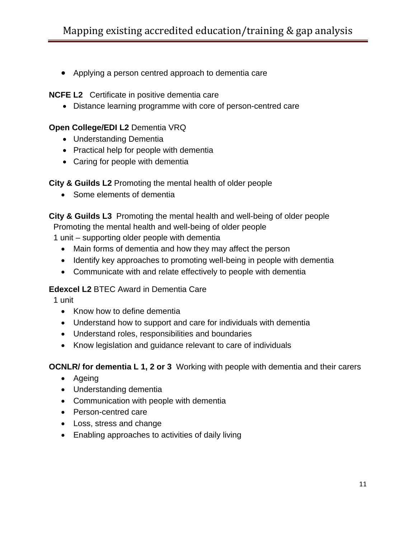• Applying a person centred approach to dementia care

**NCFE L2** Certificate in positive dementia care

• Distance learning programme with core of person-centred care

#### **Open College/EDI L2** Dementia VRQ

- Understanding Dementia
- Practical help for people with dementia
- Caring for people with dementia

**City & Guilds L2** Promoting the mental health of older people

• Some elements of dementia

**City & Guilds L3** Promoting the mental health and well-being of older people Promoting the mental health and well-being of older people

1 unit – supporting older people with dementia

- Main forms of dementia and how they may affect the person
- Identify key approaches to promoting well-being in people with dementia
- Communicate with and relate effectively to people with dementia

#### **Edexcel L2** BTEC Award in Dementia Care

1 unit

- Know how to define dementia
- Understand how to support and care for individuals with dementia
- Understand roles, responsibilities and boundaries
- Know legislation and guidance relevant to care of individuals

**OCNLR/ for dementia L 1, 2 or 3** Working with people with dementia and their carers

- Ageing
- Understanding dementia
- Communication with people with dementia
- Person-centred care
- Loss, stress and change
- Enabling approaches to activities of daily living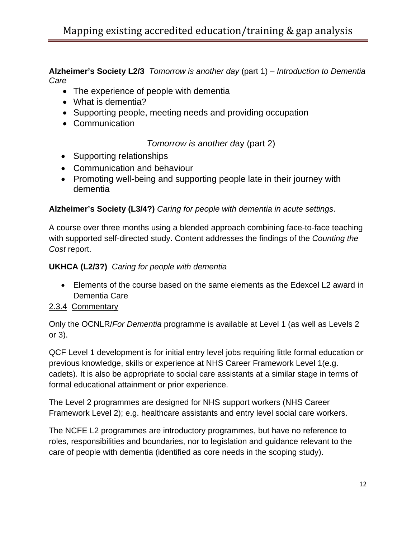**Alzheimer's Society L2/3** *Tomorrow is another day* (part 1) – *Introduction to Dementia Care*

- The experience of people with dementia
- What is dementia?
- Supporting people, meeting needs and providing occupation
- Communication

*Tomorrow is another d*ay (part 2)

- Supporting relationships
- Communication and behaviour
- Promoting well-being and supporting people late in their journey with dementia

#### **Alzheimer's Society (L3/4?)** *Caring for people with dementia in acute settings*.

A course over three months using a blended approach combining face-to-face teaching with supported self-directed study. Content addresses the findings of the *Counting the Cost* report.

#### **UKHCA (L2/3?)** *Caring for people with dementia*

• Elements of the course based on the same elements as the Edexcel L2 award in Dementia Care

#### 2.3.4 Commentary

Only the OCNLR/*For Dementia* programme is available at Level 1 (as well as Levels 2 or 3).

QCF Level 1 development is for initial entry level jobs requiring little formal education or previous knowledge, skills or experience at NHS Career Framework Level 1(e.g. cadets). It is also be appropriate to social care assistants at a similar stage in terms of formal educational attainment or prior experience.

The Level 2 programmes are designed for NHS support workers (NHS Career Framework Level 2); e.g. healthcare assistants and entry level social care workers.

The NCFE L2 programmes are introductory programmes, but have no reference to roles, responsibilities and boundaries, nor to legislation and guidance relevant to the care of people with dementia (identified as core needs in the scoping study).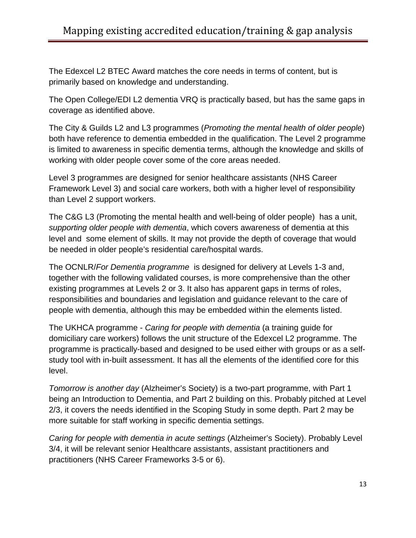The Edexcel L2 BTEC Award matches the core needs in terms of content, but is primarily based on knowledge and understanding.

The Open College/EDI L2 dementia VRQ is practically based, but has the same gaps in coverage as identified above.

The City & Guilds L2 and L3 programmes (*Promoting the mental health of older people*) both have reference to dementia embedded in the qualification. The Level 2 programme is limited to awareness in specific dementia terms, although the knowledge and skills of working with older people cover some of the core areas needed.

Level 3 programmes are designed for senior healthcare assistants (NHS Career Framework Level 3) and social care workers, both with a higher level of responsibility than Level 2 support workers.

The C&G L3 (Promoting the mental health and well-being of older people) has a unit, *supporting older people with dementia*, which covers awareness of dementia at this level and some element of skills. It may not provide the depth of coverage that would be needed in older people's residential care/hospital wards.

The OCNLR/*For Dementia programme* is designed for delivery at Levels 1-3 and, together with the following validated courses, is more comprehensive than the other existing programmes at Levels 2 or 3. It also has apparent gaps in terms of roles, responsibilities and boundaries and legislation and guidance relevant to the care of people with dementia, although this may be embedded within the elements listed.

The UKHCA programme - *Caring for people with dementia* (a training guide for domiciliary care workers) follows the unit structure of the Edexcel L2 programme. The programme is practically-based and designed to be used either with groups or as a selfstudy tool with in-built assessment. It has all the elements of the identified core for this level.

*Tomorrow is another day* (Alzheimer's Society) is a two-part programme, with Part 1 being an Introduction to Dementia, and Part 2 building on this. Probably pitched at Level 2/3, it covers the needs identified in the Scoping Study in some depth. Part 2 may be more suitable for staff working in specific dementia settings.

*Caring for people with dementia in acute settings* (Alzheimer's Society). Probably Level 3/4, it will be relevant senior Healthcare assistants, assistant practitioners and practitioners (NHS Career Frameworks 3-5 or 6).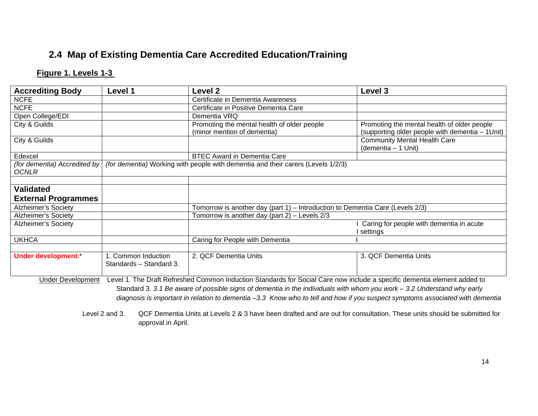## **2.4 Map of Existing Dementia Care Accredited Education/Training**

#### **Figure 1. Levels 1-3**

| <b>Accrediting Body</b>                      | <b>Level 1</b>                                 | Level 2                                                                                                                       | Level 3                                                                                         |
|----------------------------------------------|------------------------------------------------|-------------------------------------------------------------------------------------------------------------------------------|-------------------------------------------------------------------------------------------------|
| <b>NCFE</b>                                  |                                                | Certificate in Dementia Awareness                                                                                             |                                                                                                 |
| <b>NCFE</b>                                  |                                                | Certificate in Positive Dementia Care                                                                                         |                                                                                                 |
| Open College/EDI                             |                                                | Dementia VRQ                                                                                                                  |                                                                                                 |
| City & Guilds                                |                                                | Promoting the mental health of older people<br>(minor mention of dementia)                                                    | Promoting the mental health of older people<br>(supporting older people with dementia - 1 Unit) |
| City & Guilds                                |                                                |                                                                                                                               | <b>Community Mental Health Care</b><br>(dementia - 1 Unit)                                      |
| Edexcel                                      |                                                | <b>BTEC Award in Dementia Care</b>                                                                                            |                                                                                                 |
| (for dementia) Accredited by<br><b>OCNLR</b> |                                                | (for dementia) Working with people with dementia and their carers (Levels 1/2/3)                                              |                                                                                                 |
|                                              |                                                |                                                                                                                               |                                                                                                 |
| <b>Validated</b>                             |                                                |                                                                                                                               |                                                                                                 |
| <b>External Programmes</b>                   |                                                |                                                                                                                               |                                                                                                 |
| <b>Alzheimer's Society</b>                   |                                                | Tomorrow is another day (part 1) - Introduction to Dementia Care (Levels 2/3)                                                 |                                                                                                 |
| <b>Alzheimer's Society</b>                   |                                                | Tomorrow is another day (part 2) - Levels 2/3                                                                                 |                                                                                                 |
| Alzheimer's Society                          |                                                |                                                                                                                               | Caring for people with dementia in acute<br>settings                                            |
| <b>UKHCA</b>                                 |                                                | Caring for People with Dementia                                                                                               |                                                                                                 |
|                                              |                                                |                                                                                                                               |                                                                                                 |
| Under development.*                          | 1. Common Induction<br>Standards - Standard 3. | 2. QCF Dementia Units                                                                                                         | 3. QCF Dementia Units                                                                           |
| <b>Under Development</b>                     |                                                | Level 1. The Draft Refreshed Common Induction Standards for Social Care now include a specific dementia element added to      |                                                                                                 |
|                                              |                                                | Standard 3. 3.1 Be aware of possible signs of dementia in the individuals with whom you work $-$ 3.2 Understand why early     |                                                                                                 |
|                                              |                                                | diagnosis is important in relation to dementia -3.3 Know who to tell and how if you suspect symptoms associated with dementia |                                                                                                 |

 Level 2 and 3. QCF Dementia Units at Levels 2 & 3 have been drafted and are out for consultation. These units should be submitted for approval in April.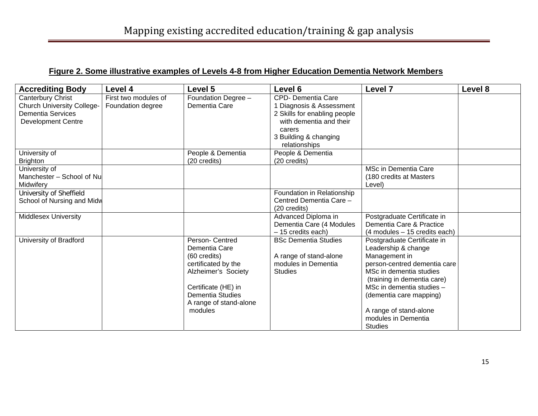#### **Figure 2. Some illustrative examples of Levels 4-8 from Higher Education Dementia Network Member s**

| <b>Accrediting Body</b>           | Level 4              | <b>Level 5</b>         | Level 6                      | Level <sub>7</sub>               | Level 8 |
|-----------------------------------|----------------------|------------------------|------------------------------|----------------------------------|---------|
| Canterbury Christ                 | First two modules of | Foundation Degree -    | CPD- Dementia Care           |                                  |         |
| <b>Church University College-</b> | Foundation degree    | Dementia Care          | 1 Diagnosis & Assessment     |                                  |         |
| <b>Dementia Services</b>          |                      |                        | 2 Skills for enabling people |                                  |         |
| <b>Development Centre</b>         |                      |                        | with dementia and their      |                                  |         |
|                                   |                      |                        | carers                       |                                  |         |
|                                   |                      |                        | 3 Building & changing        |                                  |         |
|                                   |                      |                        | relationships                |                                  |         |
| University of                     |                      | People & Dementia      | People & Dementia            |                                  |         |
| <b>Brighton</b>                   |                      | (20 credits)           | (20 credits)                 |                                  |         |
| University of                     |                      |                        |                              | MSc in Dementia Care             |         |
| Manchester - School of Nu         |                      |                        |                              | (180 credits at Masters          |         |
| Midwifery                         |                      |                        |                              | Level)                           |         |
| University of Sheffield           |                      |                        | Foundation in Relationship   |                                  |         |
| School of Nursing and Midw        |                      |                        | Centred Dementia Care -      |                                  |         |
|                                   |                      |                        | (20 credits)                 |                                  |         |
| Middlesex University              |                      |                        | Advanced Diploma in          | Postgraduate Certificate in      |         |
|                                   |                      |                        | Dementia Care (4 Modules     | Dementia Care & Practice         |         |
|                                   |                      |                        | - 15 credits each)           | $(4$ modules $-15$ credits each) |         |
| University of Bradford            |                      | Person- Centred        | <b>BSc Dementia Studies</b>  | Postgraduate Certificate in      |         |
|                                   |                      | Dementia Care          |                              | Leadership & change              |         |
|                                   |                      | (60 credits)           | A range of stand-alone       | Management in                    |         |
|                                   |                      | certificated by the    | modules in Dementia          | person-centred dementia care     |         |
|                                   |                      | Alzheimer's Society    | <b>Studies</b>               | MSc in dementia studies          |         |
|                                   |                      |                        |                              | (training in dementia care)      |         |
|                                   |                      | Certificate (HE) in    |                              | MSc in dementia studies -        |         |
|                                   |                      | Dementia Studies       |                              | (dementia care mapping)          |         |
|                                   |                      | A range of stand-alone |                              |                                  |         |
|                                   |                      | modules                |                              | A range of stand-alone           |         |
|                                   |                      |                        |                              | modules in Dementia              |         |
|                                   |                      |                        |                              | <b>Studies</b>                   |         |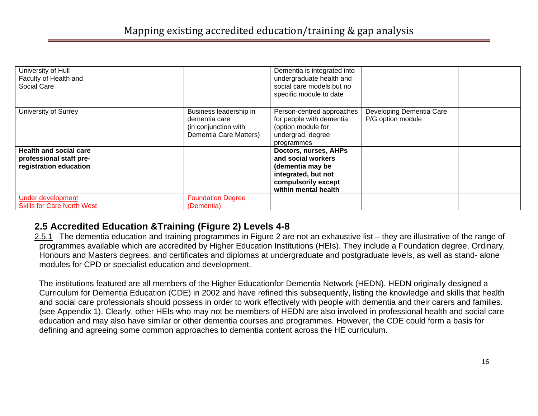| University of Hull<br>Faculty of Health and<br>Social Care                         |                                                                                           | Dementia is integrated into<br>undergraduate health and<br>social care models but no<br>specific module to date                       |                                               |  |
|------------------------------------------------------------------------------------|-------------------------------------------------------------------------------------------|---------------------------------------------------------------------------------------------------------------------------------------|-----------------------------------------------|--|
| University of Surrey                                                               | Business leadership in<br>dementia care<br>(in conjunction with<br>Dementia Care Matters) | Person-centred approaches<br>for people with dementia<br>(option module for<br>undergrad. degree<br>programmes                        | Developing Dementia Care<br>P/G option module |  |
| <b>Health and social care</b><br>professional staff pre-<br>registration education |                                                                                           | Doctors, nurses, AHPs<br>and social workers<br>(dementia may be<br>integrated, but not<br>compulsorily except<br>within mental health |                                               |  |
| Under development<br><b>Skills for Care North West</b>                             | <b>Foundation Degree</b><br>(Dementia)                                                    |                                                                                                                                       |                                               |  |

#### **2.5 Accredited Education &Training (Figure 2) Levels 4-8**

2.5.1 The dementia education and training programmes in Figure 2 are not an exhaustive list – they are illustrative of the range of programmes available which are accredited by Higher Education Institutions (HEIs). They include a Foundation degree, Ordinary, Honours and Masters degrees, and certificates and diplomas at undergraduate and postgraduate levels, as well as stand- alone modules for CPD or specialist education and development.

 The institutions featured are all members of the Higher Educationfor Dementia Network (HEDN). HEDN originally designed a Curriculum for Dementia Education (CDE) in 2002 and have refined this subsequently, listing the knowledge and skills that health and social care professionals should possess in order to work effectively with people with dementia and their carers and families. (see Appendix 1). Clearly, other HEIs who may not be members of HEDN are also involved in professional health and social care education and may also have similar or other dementia courses and programmes. However, the CDE could form a basis for defining and agreeing some common approaches to dementia content across the HE curriculum.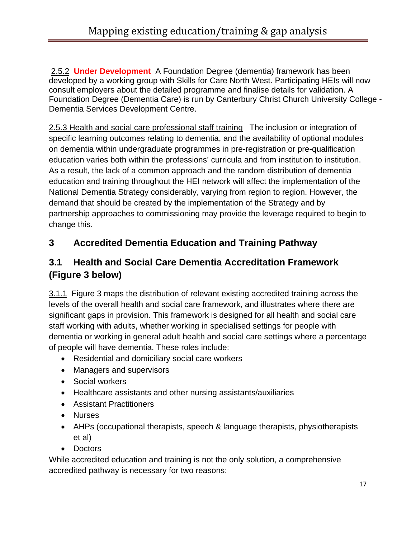2.5.2 **Under Development** A Foundation Degree (dementia) framework has been developed by a working group with Skills for Care North West. Participating HEIs will now consult employers about the detailed programme and finalise details for validation. A Foundation Degree (Dementia Care) is run by Canterbury Christ Church University College - Dementia Services Development Centre.

2.5.3 Health and social care professional staff training The inclusion or integration of specific learning outcomes relating to dementia, and the availability of optional modules on dementia within undergraduate programmes in pre-registration or pre-qualification education varies both within the professions' curricula and from institution to institution. As a result, the lack of a common approach and the random distribution of dementia education and training throughout the HEI network will affect the implementation of the National Dementia Strategy considerably, varying from region to region. However, the demand that should be created by the implementation of the Strategy and by partnership approaches to commissioning may provide the leverage required to begin to change this.

## **3 Accredited Dementia Education and Training Pathway**

### **3.1 Health and Social Care Dementia Accreditation Framework (Figure 3 below)**

3.1.1 Figure 3 maps the distribution of relevant existing accredited training across the levels of the overall health and social care framework, and illustrates where there are significant gaps in provision. This framework is designed for all health and social care staff working with adults, whether working in specialised settings for people with dementia or working in general adult health and social care settings where a percentage of people will have dementia. These roles include:

- Residential and domiciliary social care workers
- Managers and supervisors
- Social workers
- Healthcare assistants and other nursing assistants/auxiliaries
- Assistant Practitioners
- Nurses
- AHPs (occupational therapists, speech & language therapists, physiotherapists et al)
- Doctors

While accredited education and training is not the only solution, a comprehensive accredited pathway is necessary for two reasons: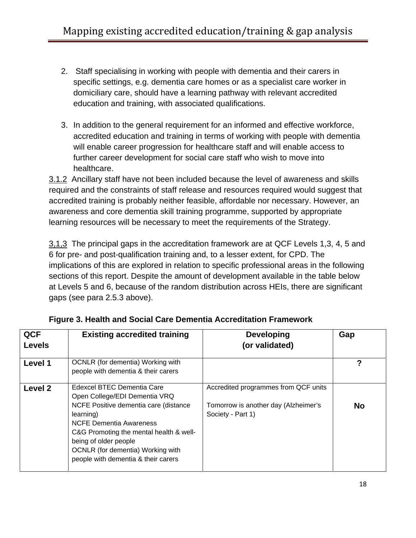- 2. Staff specialising in working with people with dementia and their carers in specific settings, e.g. dementia care homes or as a specialist care worker in domiciliary care, should have a learning pathway with relevant accredited education and training, with associated qualifications.
- 3. In addition to the general requirement for an informed and effective workforce, accredited education and training in terms of working with people with dementia will enable career progression for healthcare staff and will enable access to further career development for social care staff who wish to move into healthcare.

3.1.2 Ancillary staff have not been included because the level of awareness and skills required and the constraints of staff release and resources required would suggest that accredited training is probably neither feasible, affordable nor necessary. However, an awareness and core dementia skill training programme, supported by appropriate learning resources will be necessary to meet the requirements of the Strategy.

3,1,3 The principal gaps in the accreditation framework are at QCF Levels 1,3, 4, 5 and 6 for pre- and post-qualification training and, to a lesser extent, for CPD. The implications of this are explored in relation to specific professional areas in the following sections of this report. Despite the amount of development available in the table below at Levels 5 and 6, because of the random distribution across HEIs, there are significant gaps (see para 2.5.3 above).

| <b>QCF</b><br><b>Levels</b> | <b>Existing accredited training</b>                                                                                                                                                                                                                                                                 | <b>Developing</b><br>(or validated)                                                               | Gap       |
|-----------------------------|-----------------------------------------------------------------------------------------------------------------------------------------------------------------------------------------------------------------------------------------------------------------------------------------------------|---------------------------------------------------------------------------------------------------|-----------|
| Level 1                     | OCNLR (for dementia) Working with<br>people with dementia & their carers                                                                                                                                                                                                                            |                                                                                                   |           |
| Level 2                     | Edexcel BTEC Dementia Care<br>Open College/EDI Dementia VRQ<br>NCFE Positive dementia care (distance<br>learning)<br><b>NCFE Dementia Awareness</b><br>C&G Promoting the mental health & well-<br>being of older people<br>OCNLR (for dementia) Working with<br>people with dementia & their carers | Accredited programmes from QCF units<br>Tomorrow is another day (Alzheimer's<br>Society - Part 1) | <b>No</b> |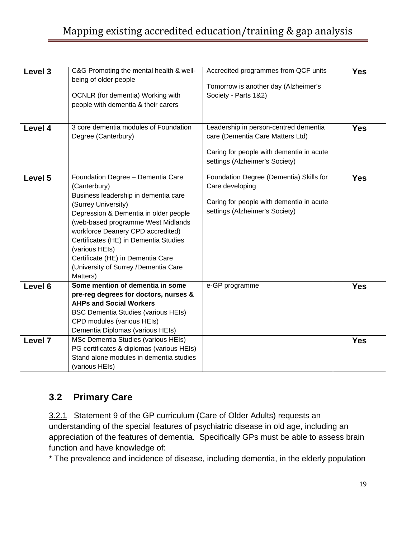# Mapping existing accredited education/training & gap analysis

| Level 3 | C&G Promoting the mental health & well-<br>being of older people<br>OCNLR (for dementia) Working with<br>people with dementia & their carers                                                                                                                                                                                                                                             | Accredited programmes from QCF units<br>Tomorrow is another day (Alzheimer's<br>Society - Parts 1&2)                                                    | <b>Yes</b> |
|---------|------------------------------------------------------------------------------------------------------------------------------------------------------------------------------------------------------------------------------------------------------------------------------------------------------------------------------------------------------------------------------------------|---------------------------------------------------------------------------------------------------------------------------------------------------------|------------|
| Level 4 | 3 core dementia modules of Foundation<br>Degree (Canterbury)                                                                                                                                                                                                                                                                                                                             | Leadership in person-centred dementia<br>care (Dementia Care Matters Ltd)<br>Caring for people with dementia in acute<br>settings (Alzheimer's Society) | <b>Yes</b> |
| Level 5 | Foundation Degree - Dementia Care<br>(Canterbury)<br>Business leadership in dementia care<br>(Surrey University)<br>Depression & Dementia in older people<br>(web-based programme West Midlands<br>workforce Deanery CPD accredited)<br>Certificates (HE) in Dementia Studies<br>(various HEIs)<br>Certificate (HE) in Dementia Care<br>(University of Surrey /Dementia Care<br>Matters) | Foundation Degree (Dementia) Skills for<br>Care developing<br>Caring for people with dementia in acute<br>settings (Alzheimer's Society)                | Yes        |
| Level 6 | Some mention of dementia in some<br>pre-reg degrees for doctors, nurses &<br><b>AHPs and Social Workers</b><br><b>BSC Dementia Studies (various HEIs)</b><br>CPD modules (various HEIs)<br>Dementia Diplomas (various HEIs)                                                                                                                                                              | e-GP programme                                                                                                                                          | <b>Yes</b> |
| Level 7 | MSc Dementia Studies (various HEIs)<br>PG certificates & diplomas (various HEIs)<br>Stand alone modules in dementia studies<br>(various HEIs)                                                                                                                                                                                                                                            |                                                                                                                                                         | <b>Yes</b> |

#### **3.2 Primary Care**

3.2.1 Statement 9 of the GP curriculum (Care of Older Adults) requests an understanding of the special features of psychiatric disease in old age, including an appreciation of the features of dementia. Specifically GPs must be able to assess brain function and have knowledge of:

\* The prevalence and incidence of disease, including dementia, in the elderly population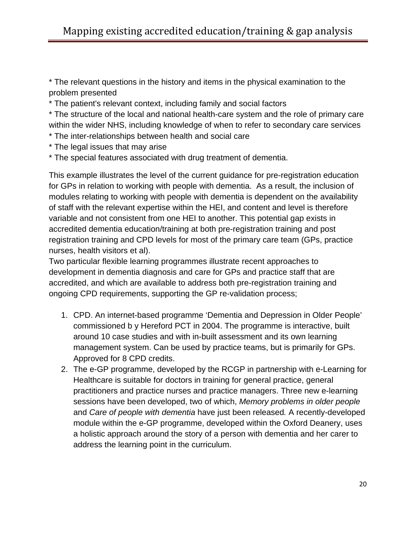\* The relevant questions in the history and items in the physical examination to the problem presented

\* The patient's relevant context, including family and social factors

\* The structure of the local and national health-care system and the role of primary care within the wider NHS, including knowledge of when to refer to secondary care services

- \* The inter-relationships between health and social care
- \* The legal issues that may arise
- \* The special features associated with drug treatment of dementia.

This example illustrates the level of the current guidance for pre-registration education for GPs in relation to working with people with dementia. As a result, the inclusion of modules relating to working with people with dementia is dependent on the availability of staff with the relevant expertise within the HEI, and content and level is therefore variable and not consistent from one HEI to another. This potential gap exists in accredited dementia education/training at both pre-registration training and post registration training and CPD levels for most of the primary care team (GPs, practice nurses, health visitors et al).

Two particular flexible learning programmes illustrate recent approaches to development in dementia diagnosis and care for GPs and practice staff that are accredited, and which are available to address both pre-registration training and ongoing CPD requirements, supporting the GP re-validation process;

- 1. CPD. An internet-based programme 'Dementia and Depression in Older People' commissioned b y Hereford PCT in 2004. The programme is interactive, built around 10 case studies and with in-built assessment and its own learning management system. Can be used by practice teams, but is primarily for GPs. Approved for 8 CPD credits.
- 2. The e-GP programme, developed by the RCGP in partnership with e-Learning for Healthcare is suitable for doctors in training for general practice, general practitioners and practice nurses and practice managers. Three new e-learning sessions have been developed, two of which, *Memory problems in older people* and *Care of people with dementia* have just been released*.* A recently-developed module within the e-GP programme, developed within the Oxford Deanery, uses a holistic approach around the story of a person with dementia and her carer to address the learning point in the curriculum.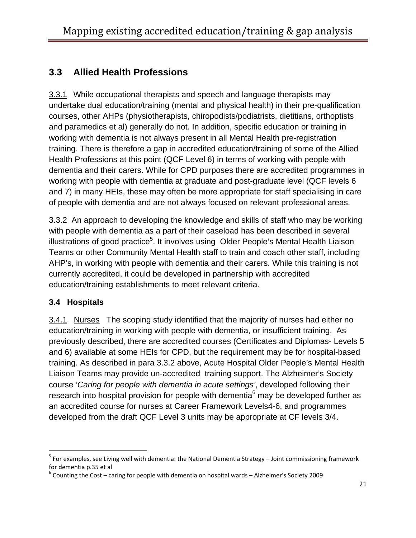## **3.3 Allied Health Professions**

3.3.1 While occupational therapists and speech and language therapists may undertake dual education/training (mental and physical health) in their pre-qualification courses, other AHPs (physiotherapists, chiropodists/podiatrists, dietitians, orthoptists and paramedics et al) generally do not. In addition, specific education or training in working with dementia is not always present in all Mental Health pre-registration training. There is therefore a gap in accredited education/training of some of the Allied Health Professions at this point (QCF Level 6) in terms of working with people with dementia and their carers. While for CPD purposes there are accredited programmes in working with people with dementia at graduate and post-graduate level (QCF levels 6 and 7) in many HEIs, these may often be more appropriate for staff specialising in care of people with dementia and are not always focused on relevant professional areas.

3.3.2 An approach to developing the knowledge and skills of staff who may be working with people with dementia as a part of their caseload has been described in several illustrations of good practice<sup>[5](#page-21-0)</sup>. It involves using Older People's Mental Health Liaison Teams or other Community Mental Health staff to train and coach other staff, including AHP's, in working with people with dementia and their carers. While this training is not currently accredited, it could be developed in partnership with accredited education/training establishments to meet relevant criteria.

#### **3.4 Hospitals**

3.4.1 Nurses The scoping study identified that the majority of nurses had either no education/training in working with people with dementia, or insufficient training. As previously described, there are accredited courses (Certificates and Diplomas- Levels 5 and 6) available at some HEIs for CPD, but the requirement may be for hospital-based training. As described in para 3.3.2 above, Acute Hospital Older People's Mental Health Liaison Teams may provide un-accredited training support. The Alzheimer's Society course '*Caring for people with dementia in acute settings'*, developed following their research into hospital provision for people with dementia $6$  may be developed further as an accredited course for nurses at Career Framework Levels4-6, and programmes developed from the draft QCF Level 3 units may be appropriate at CF levels 3/4.

<span id="page-21-0"></span> $^5$  For examples, see Living well with dementia: the National Dementia Strategy – Joint commissioning framework for dementia p.35 et al<br> $6$  Counting the Cost – caring for people with dementia on hospital wards – Alzheimer's Society 2009

<span id="page-21-1"></span>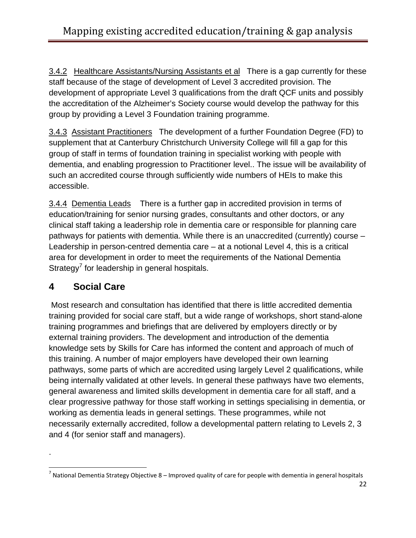3.4.2 Healthcare Assistants/Nursing Assistants et al There is a gap currently for these staff because of the stage of development of Level 3 accredited provision. The development of appropriate Level 3 qualifications from the draft QCF units and possibly the accreditation of the Alzheimer's Society course would develop the pathway for this group by providing a Level 3 Foundation training programme.

3.4.3 Assistant Practitioners The development of a further Foundation Degree (FD) to supplement that at Canterbury Christchurch University College will fill a gap for this group of staff in terms of foundation training in specialist working with people with dementia, and enabling progression to Practitioner level.. The issue will be availability of such an accredited course through sufficiently wide numbers of HEIs to make this accessible.

3.4.4 Dementia Leads There is a further gap in accredited provision in terms of education/training for senior nursing grades, consultants and other doctors, or any clinical staff taking a leadership role in dementia care or responsible for planning care pathways for patients with dementia. While there is an unaccredited (currently) course – Leadership in person-centred dementia care – at a notional Level 4, this is a critical area for development in order to meet the requirements of the National Dementia Strategy<sup>[7](#page-22-0)</sup> for leadership in general hospitals.

### **4 Social Care**

.

 Most research and consultation has identified that there is little accredited dementia training provided for social care staff, but a wide range of workshops, short stand-alone training programmes and briefings that are delivered by employers directly or by external training providers. The development and introduction of the dementia knowledge sets by Skills for Care has informed the content and approach of much of this training. A number of major employers have developed their own learning pathways, some parts of which are accredited using largely Level 2 qualifications, while being internally validated at other levels. In general these pathways have two elements, general awareness and limited skills development in dementia care for all staff, and a clear progressive pathway for those staff working in settings specialising in dementia, or working as dementia leads in general settings. These programmes, while not necessarily externally accredited, follow a developmental pattern relating to Levels 2, 3 and 4 (for senior staff and managers).

<span id="page-22-0"></span> <sup>7</sup> National Dementia Strategy Objective 8 – Improved quality of care for people with dementia in general hospitals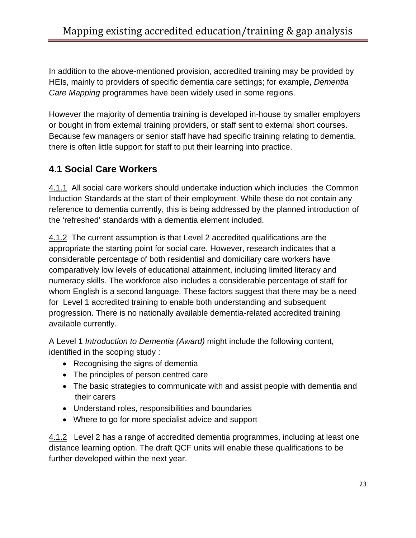In addition to the above-mentioned provision, accredited training may be provided by HEIs, mainly to providers of specific dementia care settings; for example, *Dementia Care Mapping* programmes have been widely used in some regions.

However the majority of dementia training is developed in-house by smaller employers or bought in from external training providers, or staff sent to external short courses. Because few managers or senior staff have had specific training relating to dementia, there is often little support for staff to put their learning into practice.

### **4.1 Social Care Workers**

4.1.1 All social care workers should undertake induction which includes the Common Induction Standards at the start of their employment. While these do not contain any reference to dementia currently, this is being addressed by the planned introduction of the 'refreshed' standards with a dementia element included.

4.1.2 The current assumption is that Level 2 accredited qualifications are the appropriate the starting point for social care. However, research indicates that a considerable percentage of both residential and domiciliary care workers have comparatively low levels of educational attainment, including limited literacy and numeracy skills. The workforce also includes a considerable percentage of staff for whom English is a second language. These factors suggest that there may be a need for Level 1 accredited training to enable both understanding and subsequent progression. There is no nationally available dementia-related accredited training available currently.

A Level 1 *Introduction to Dementia (Award)* might include the following content, identified in the scoping study :

- Recognising the signs of dementia
- The principles of person centred care
- The basic strategies to communicate with and assist people with dementia and their carers
- Understand roles, responsibilities and boundaries
- Where to go for more specialist advice and support

4.1.2 Level 2 has a range of accredited dementia programmes, including at least one distance learning option. The draft QCF units will enable these qualifications to be further developed within the next year.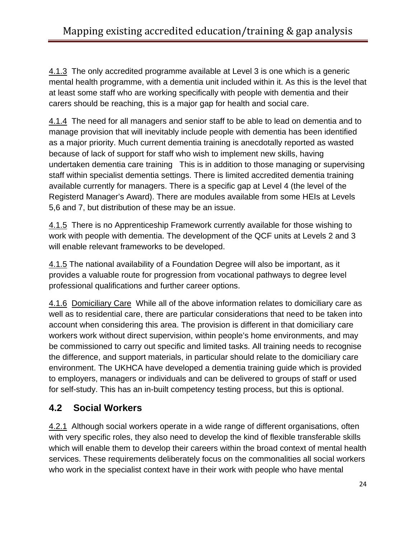4.1.3 The only accredited programme available at Level 3 is one which is a generic mental health programme, with a dementia unit included within it. As this is the level that at least some staff who are working specifically with people with dementia and their carers should be reaching, this is a major gap for health and social care.

4.1.4 The need for all managers and senior staff to be able to lead on dementia and to manage provision that will inevitably include people with dementia has been identified as a major priority. Much current dementia training is anecdotally reported as wasted because of lack of support for staff who wish to implement new skills, having undertaken dementia care training This is in addition to those managing or supervising staff within specialist dementia settings. There is limited accredited dementia training available currently for managers. There is a specific gap at Level 4 (the level of the Registerd Manager's Award). There are modules available from some HEIs at Levels 5,6 and 7, but distribution of these may be an issue.

4.1.5 There is no Apprenticeship Framework currently available for those wishing to work with people with dementia. The development of the QCF units at Levels 2 and 3 will enable relevant frameworks to be developed.

4.1.5 The national availability of a Foundation Degree will also be important, as it provides a valuable route for progression from vocational pathways to degree level professional qualifications and further career options.

4.1.6 Domiciliary Care While all of the above information relates to domiciliary care as well as to residential care, there are particular considerations that need to be taken into account when considering this area. The provision is different in that domiciliary care workers work without direct supervision, within people's home environments, and may be commissioned to carry out specific and limited tasks. All training needs to recognise the difference, and support materials, in particular should relate to the domiciliary care environment. The UKHCA have developed a dementia training guide which is provided to employers, managers or individuals and can be delivered to groups of staff or used for self-study. This has an in-built competency testing process, but this is optional.

### **4.2 Social Workers**

4.2.1 Although social workers operate in a wide range of different organisations, often with very specific roles, they also need to develop the kind of flexible transferable skills which will enable them to develop their careers within the broad context of mental health services. These requirements deliberately focus on the commonalities all social workers who work in the specialist context have in their work with people who have mental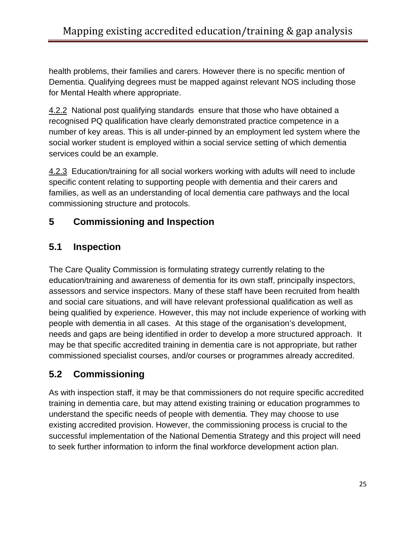health problems, their families and carers. However there is no specific mention of Dementia. Qualifying degrees must be mapped against relevant NOS including those for Mental Health where appropriate.

4.2.2 National post qualifying standards ensure that those who have obtained a recognised PQ qualification have clearly demonstrated practice competence in a number of key areas. This is all under-pinned by an employment led system where the social worker student is employed within a social service setting of which dementia services could be an example.

4.2.3 Education/training for all social workers working with adults will need to include specific content relating to supporting people with dementia and their carers and families, as well as an understanding of local dementia care pathways and the local commissioning structure and protocols.

### **5 Commissioning and Inspection**

## **5.1 Inspection**

The Care Quality Commission is formulating strategy currently relating to the education/training and awareness of dementia for its own staff, principally inspectors, assessors and service inspectors. Many of these staff have been recruited from health and social care situations, and will have relevant professional qualification as well as being qualified by experience. However, this may not include experience of working with people with dementia in all cases. At this stage of the organisation's development, needs and gaps are being identified in order to develop a more structured approach. It may be that specific accredited training in dementia care is not appropriate, but rather commissioned specialist courses, and/or courses or programmes already accredited.

# **5.2 Commissioning**

As with inspection staff, it may be that commissioners do not require specific accredited training in dementia care, but may attend existing training or education programmes to understand the specific needs of people with dementia. They may choose to use existing accredited provision. However, the commissioning process is crucial to the successful implementation of the National Dementia Strategy and this project will need to seek further information to inform the final workforce development action plan.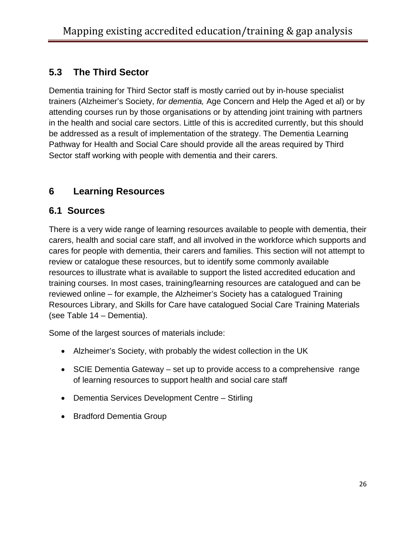### **5.3 The Third Sector**

Dementia training for Third Sector staff is mostly carried out by in-house specialist trainers (Alzheimer's Society, *for dementia,* Age Concern and Help the Aged et al) or by attending courses run by those organisations or by attending joint training with partners in the health and social care sectors. Little of this is accredited currently, but this should be addressed as a result of implementation of the strategy. The Dementia Learning Pathway for Health and Social Care should provide all the areas required by Third Sector staff working with people with dementia and their carers.

### **6 Learning Resources**

#### **6.1 Sources**

There is a very wide range of learning resources available to people with dementia, their carers, health and social care staff, and all involved in the workforce which supports and cares for people with dementia, their carers and families. This section will not attempt to review or catalogue these resources, but to identify some commonly available resources to illustrate what is available to support the listed accredited education and training courses. In most cases, training/learning resources are catalogued and can be reviewed online – for example, the Alzheimer's Society has a catalogued Training Resources Library, and Skills for Care have catalogued Social Care Training Materials (see Table 14 – Dementia).

Some of the largest sources of materials include:

- Alzheimer's Society, with probably the widest collection in the UK
- SCIE Dementia Gateway set up to provide access to a comprehensive range of learning resources to support health and social care staff
- Dementia Services Development Centre Stirling
- Bradford Dementia Group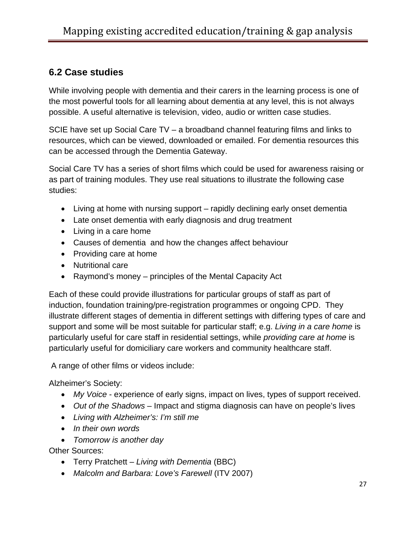#### **6.2 Case studies**

While involving people with dementia and their carers in the learning process is one of the most powerful tools for all learning about dementia at any level, this is not always possible. A useful alternative is television, video, audio or written case studies.

SCIE have set up Social Care TV – a broadband channel featuring films and links to resources, which can be viewed, downloaded or emailed. For dementia resources this can be accessed through the Dementia Gateway.

Social Care TV has a series of short films which could be used for awareness raising or as part of training modules. They use real situations to illustrate the following case studies:

- Living at home with nursing support rapidly declining early onset dementia
- Late onset dementia with early diagnosis and drug treatment
- Living in a care home
- Causes of dementia and how the changes affect behaviour
- Providing care at home
- Nutritional care
- Raymond's money principles of the Mental Capacity Act

Each of these could provide illustrations for particular groups of staff as part of induction, foundation training/pre-registration programmes or ongoing CPD. They illustrate different stages of dementia in different settings with differing types of care and support and some will be most suitable for particular staff; e.g. *Living in a care home* is particularly useful for care staff in residential settings, while *providing care at home* is particularly useful for domiciliary care workers and community healthcare staff.

A range of other films or videos include:

Alzheimer's Society:

- *My Voice* experience of early signs, impact on lives, types of support received.
- *Out of the Shadows* Impact and stigma diagnosis can have on people's lives
- *Living with Alzheimer's: I'm still me*
- *In their own words*
- *Tomorrow is another day*

Other Sources:

- Terry Pratchett *Living with Dementia* (BBC)
- *Malcolm and Barbara: Love's Farewell* (ITV 2007)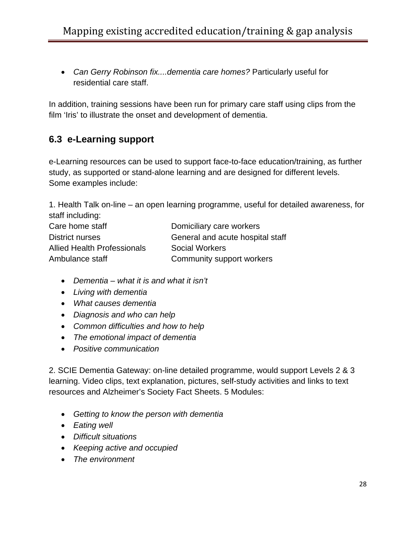• *Can Gerry Robinson fix....dementia care homes?* Particularly useful for residential care staff.

In addition, training sessions have been run for primary care staff using clips from the film 'Iris' to illustrate the onset and development of dementia.

### **6.3 e-Learning support**

e-Learning resources can be used to support face-to-face education/training, as further study, as supported or stand-alone learning and are designed for different levels. Some examples include:

1. Health Talk on-line – an open learning programme, useful for detailed awareness, for staff including:

| Care home staff                    | Domiciliary care workers         |
|------------------------------------|----------------------------------|
| District nurses                    | General and acute hospital staff |
| <b>Allied Health Professionals</b> | Social Workers                   |
| Ambulance staff                    | Community support workers        |

- *Dementia what it is and what it isn't*
- *Living with dementia*
- *What causes dementia*
- *Diagnosis and who can help*
- *Common difficulties and how to help*
- *The emotional impact of dementia*
- *Positive communication*

2. SCIE Dementia Gateway: on-line detailed programme, would support Levels 2 & 3 learning. Video clips, text explanation, pictures, self-study activities and links to text resources and Alzheimer's Society Fact Sheets. 5 Modules:

- *Getting to know the person with dementia*
- *Eating well*
- *Difficult situations*
- *Keeping active and occupied*
- *The environment*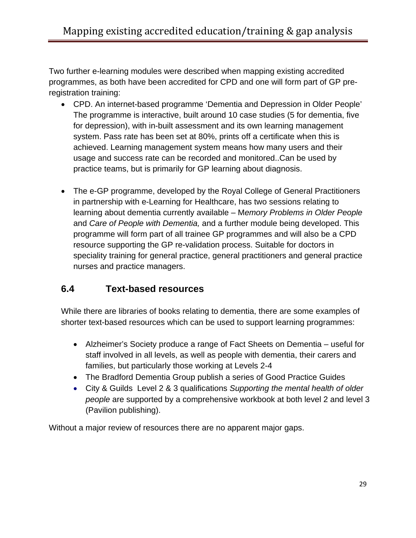Two further e-learning modules were described when mapping existing accredited programmes, as both have been accredited for CPD and one will form part of GP preregistration training:

- CPD. An internet-based programme 'Dementia and Depression in Older People' The programme is interactive, built around 10 case studies (5 for dementia, five for depression), with in-built assessment and its own learning management system. Pass rate has been set at 80%, prints off a certificate when this is achieved. Learning management system means how many users and their usage and success rate can be recorded and monitored..Can be used by practice teams, but is primarily for GP learning about diagnosis.
- The e-GP programme, developed by the Royal College of General Practitioners in partnership with e-Learning for Healthcare, has two sessions relating to learning about dementia currently available – M*emory Problems in Older People* and *Care of People with Dementia,* and a further module being developed. This programme will form part of all trainee GP programmes and will also be a CPD resource supporting the GP re-validation process. Suitable for doctors in speciality training for general practice, general practitioners and general practice nurses and practice managers.

#### **6.4 Text-based resources**

While there are libraries of books relating to dementia, there are some examples of shorter text-based resources which can be used to support learning programmes:

- Alzheimer's Society produce a range of Fact Sheets on Dementia useful for staff involved in all levels, as well as people with dementia, their carers and families, but particularly those working at Levels 2-4
- The Bradford Dementia Group publish a series of Good Practice Guides
- City & Guilds Level 2 & 3 qualifications *Supporting the mental health of older people* are supported by a comprehensive workbook at both level 2 and level 3 (Pavilion publishing).

Without a major review of resources there are no apparent major gaps.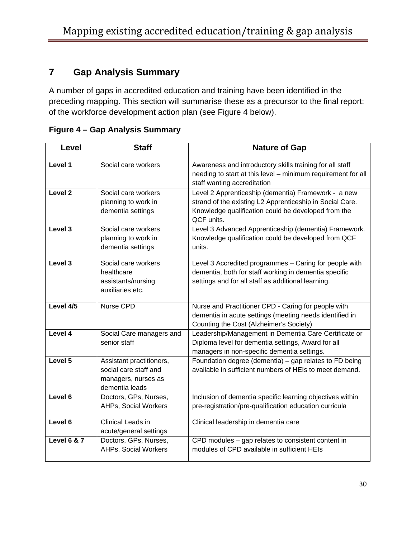## **7 Gap Analysis Summary**

A number of gaps in accredited education and training have been identified in the preceding mapping. This section will summarise these as a precursor to the final report: of the workforce development action plan (see Figure 4 below).

| Level                  | <b>Staff</b>                                                                               | <b>Nature of Gap</b>                                                                                                                                                                 |
|------------------------|--------------------------------------------------------------------------------------------|--------------------------------------------------------------------------------------------------------------------------------------------------------------------------------------|
| Level 1                | Social care workers                                                                        | Awareness and introductory skills training for all staff<br>needing to start at this level - minimum requirement for all<br>staff wanting accreditation                              |
| Level <sub>2</sub>     | Social care workers<br>planning to work in<br>dementia settings                            | Level 2 Apprenticeship (dementia) Framework - a new<br>strand of the existing L2 Apprenticeship in Social Care.<br>Knowledge qualification could be developed from the<br>QCF units. |
| Level 3                | Social care workers<br>planning to work in<br>dementia settings                            | Level 3 Advanced Apprenticeship (dementia) Framework.<br>Knowledge qualification could be developed from QCF<br>units.                                                               |
| Level 3                | Social care workers<br>healthcare<br>assistants/nursing<br>auxiliaries etc.                | Level 3 Accredited programmes - Caring for people with<br>dementia, both for staff working in dementia specific<br>settings and for all staff as additional learning.                |
| Level 4/5              | Nurse CPD                                                                                  | Nurse and Practitioner CPD - Caring for people with<br>dementia in acute settings (meeting needs identified in<br>Counting the Cost (Alzheimer's Society)                            |
| Level 4                | Social Care managers and<br>senior staff                                                   | Leadership/Management in Dementia Care Certificate or<br>Diploma level for dementia settings, Award for all<br>managers in non-specific dementia settings.                           |
| Level 5                | Assistant practitioners,<br>social care staff and<br>managers, nurses as<br>dementia leads | Foundation degree (dementia) - gap relates to FD being<br>available in sufficient numbers of HEIs to meet demand.                                                                    |
| Level 6                | Doctors, GPs, Nurses,<br>AHPs, Social Workers                                              | Inclusion of dementia specific learning objectives within<br>pre-registration/pre-qualification education curricula                                                                  |
| Level 6                | Clinical Leads in<br>acute/general settings                                                | Clinical leadership in dementia care                                                                                                                                                 |
| <b>Level 6 &amp; 7</b> | Doctors, GPs, Nurses,<br><b>AHPs, Social Workers</b>                                       | CPD modules - gap relates to consistent content in<br>modules of CPD available in sufficient HEIs                                                                                    |

**Figure 4 – Gap Analysis Summary**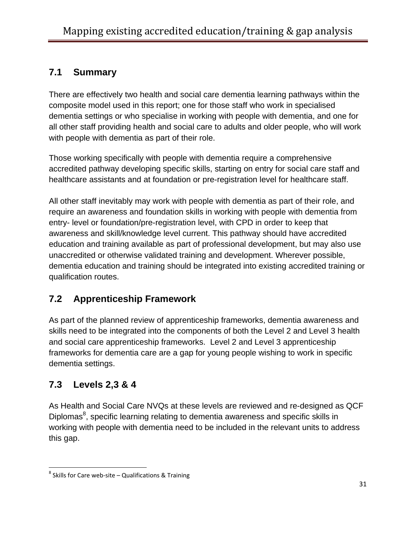### **7.1 Summary**

There are effectively two health and social care dementia learning pathways within the composite model used in this report; one for those staff who work in specialised dementia settings or who specialise in working with people with dementia, and one for all other staff providing health and social care to adults and older people, who will work with people with dementia as part of their role.

Those working specifically with people with dementia require a comprehensive accredited pathway developing specific skills, starting on entry for social care staff and healthcare assistants and at foundation or pre-registration level for healthcare staff.

All other staff inevitably may work with people with dementia as part of their role, and require an awareness and foundation skills in working with people with dementia from entry- level or foundation/pre-registration level, with CPD in order to keep that awareness and skill/knowledge level current. This pathway should have accredited education and training available as part of professional development, but may also use unaccredited or otherwise validated training and development. Wherever possible, dementia education and training should be integrated into existing accredited training or qualification routes.

### **7.2 Apprenticeship Framework**

As part of the planned review of apprenticeship frameworks, dementia awareness and skills need to be integrated into the components of both the Level 2 and Level 3 health and social care apprenticeship frameworks. Level 2 and Level 3 apprenticeship frameworks for dementia care are a gap for young people wishing to work in specific dementia settings.

# **7.3 Levels 2,3 & 4**

As Health and Social Care NVQs at these levels are reviewed and re-designed as QCF Diplomas<sup>[8](#page-31-0)</sup>, specific learning relating to dementia awareness and specific skills in working with people with dementia need to be included in the relevant units to address this gap.

<span id="page-31-0"></span> $8$  Skills for Care web-site – Qualifications & Training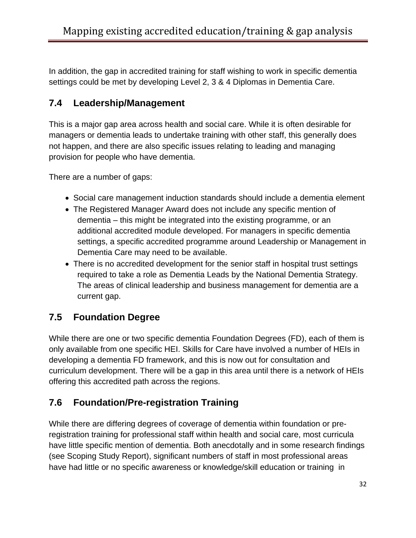In addition, the gap in accredited training for staff wishing to work in specific dementia settings could be met by developing Level 2, 3 & 4 Diplomas in Dementia Care.

### **7.4 Leadership/Management**

This is a major gap area across health and social care. While it is often desirable for managers or dementia leads to undertake training with other staff, this generally does not happen, and there are also specific issues relating to leading and managing provision for people who have dementia.

There are a number of gaps:

- Social care management induction standards should include a dementia element
- The Registered Manager Award does not include any specific mention of dementia – this might be integrated into the existing programme, or an additional accredited module developed. For managers in specific dementia settings, a specific accredited programme around Leadership or Management in Dementia Care may need to be available.
- There is no accredited development for the senior staff in hospital trust settings required to take a role as Dementia Leads by the National Dementia Strategy. The areas of clinical leadership and business management for dementia are a current gap.

# **7.5 Foundation Degree**

While there are one or two specific dementia Foundation Degrees (FD), each of them is only available from one specific HEI. Skills for Care have involved a number of HEIs in developing a dementia FD framework, and this is now out for consultation and curriculum development. There will be a gap in this area until there is a network of HEIs offering this accredited path across the regions.

### **7.6 Foundation/Pre-registration Training**

While there are differing degrees of coverage of dementia within foundation or preregistration training for professional staff within health and social care, most curricula have little specific mention of dementia. Both anecdotally and in some research findings (see Scoping Study Report), significant numbers of staff in most professional areas have had little or no specific awareness or knowledge/skill education or training in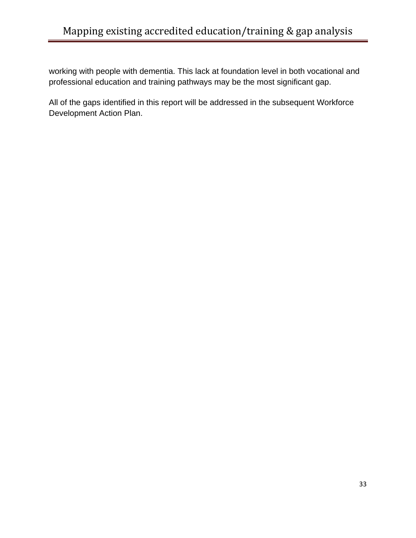working with people with dementia. This lack at foundation level in both vocational and professional education and training pathways may be the most significant gap.

All of the gaps identified in this report will be addressed in the subsequent Workforce Development Action Plan.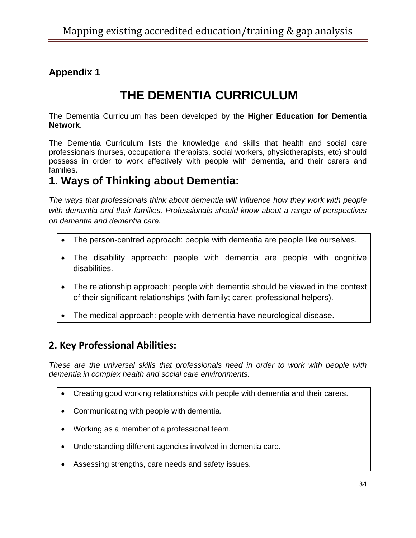# **Appendix 1**

# **THE DEMENTIA CURRICULUM**

The Dementia Curriculum has been developed by the **Higher Education for Dementia Network**.

The Dementia Curriculum lists the knowledge and skills that health and social care professionals (nurses, occupational therapists, social workers, physiotherapists, etc) should possess in order to work effectively with people with dementia, and their carers and families.

# **1. Ways of Thinking about Dementia:**

*The ways that professionals think about dementia will influence how they work with people with dementia and their families. Professionals should know about a range of perspectives on dementia and dementia care.* 

- The person-centred approach: people with dementia are people like ourselves.
- The disability approach: people with dementia are people with cognitive disabilities.
- The relationship approach: people with dementia should be viewed in the context of their significant relationships (with family; carer; professional helpers).
- The medical approach: people with dementia have neurological disease.

### **2. Key Professional Abilities:**

*These are the universal skills that professionals need in order to work with people with dementia in complex health and social care environments.* 

- Creating good working relationships with people with dementia and their carers.
- Communicating with people with dementia.
- Working as a member of a professional team.
- Understanding different agencies involved in dementia care.
- Assessing strengths, care needs and safety issues.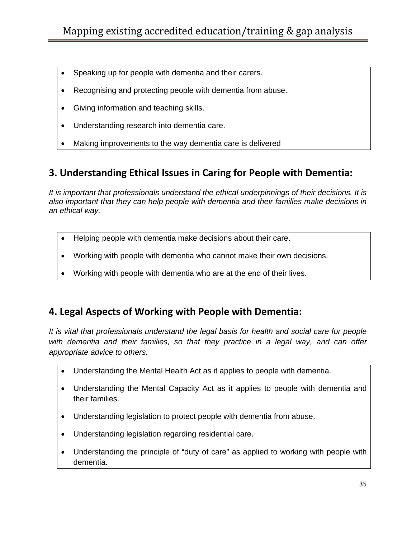- Speaking up for people with dementia and their carers.
- Recognising and protecting people with dementia from abuse.
- Giving information and teaching skills.
- Understanding research into dementia care.
- Making improvements to the way dementia care is delivered

#### **3. Understanding Ethical Issues in Caring for People with Dementia:**

*It is important that professionals understand the ethical underpinnings of their decisions. It is also important that they can help people with dementia and their families make decisions in an ethical way.* 

- Helping people with dementia make decisions about their care.
- Working with people with dementia who cannot make their own decisions.
- Working with people with dementia who are at the end of their lives.

#### **4. Legal Aspects of Working with People with Dementia:**

*It is vital that professionals understand the legal basis for health and social care for people with dementia and their families, so that they practice in a legal way, and can offer appropriate advice to others.* 

- Understanding the Mental Health Act as it applies to people with dementia.
- Understanding the Mental Capacity Act as it applies to people with dementia and their families.
- Understanding legislation to protect people with dementia from abuse.
- Understanding legislation regarding residential care.
- Understanding the principle of "duty of care" as applied to working with people with dementia.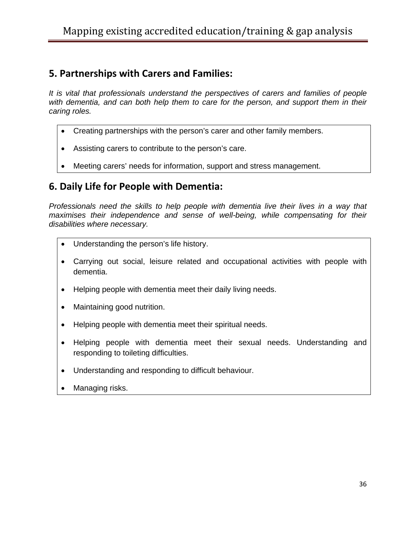### **5. Partnerships with Carers and Families:**

*It is vital that professionals understand the perspectives of carers and families of people*  with dementia, and can both help them to care for the person, and support them in their *caring roles.* 

- Creating partnerships with the person's carer and other family members.
- Assisting carers to contribute to the person's care.
- Meeting carers' needs for information, support and stress management.

#### **6. Daily Life for People with Dementia:**

*Professionals need the skills to help people with dementia live their lives in a way that*  maximises their independence and sense of well-being, while compensating for their *disabilities where necessary.* 

- Understanding the person's life history.
- Carrying out social, leisure related and occupational activities with people with dementia.
- Helping people with dementia meet their daily living needs.
- Maintaining good nutrition.
- Helping people with dementia meet their spiritual needs.
- Helping people with dementia meet their sexual needs. Understanding and responding to toileting difficulties.
- Understanding and responding to difficult behaviour.
- Managing risks.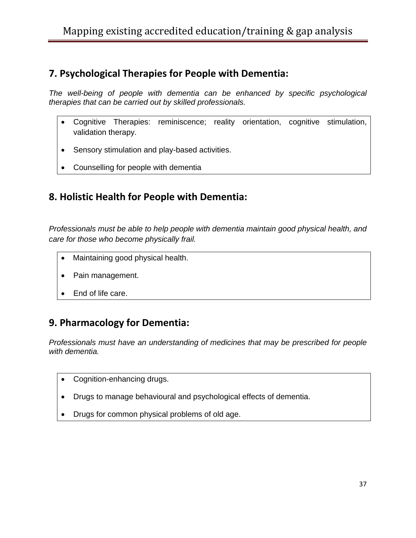### **7. Psychological Therapies for People with Dementia:**

*The well-being of people with dementia can be enhanced by specific psychological therapies that can be carried out by skilled professionals.* 

- Cognitive Therapies: reminiscence; reality orientation, cognitive stimulation, validation therapy.
- Sensory stimulation and play-based activities.
- Counselling for people with dementia

### **8. Holistic Health for People with Dementia:**

*Professionals must be able to help people with dementia maintain good physical health, and care for those who become physically frail.* 

- Maintaining good physical health.
- Pain management.
- End of life care.

#### **9. Pharmacology for Dementia:**

*Professionals must have an understanding of medicines that may be prescribed for people with dementia.* 

- Cognition-enhancing drugs.
- Drugs to manage behavioural and psychological effects of dementia.
- Drugs for common physical problems of old age.